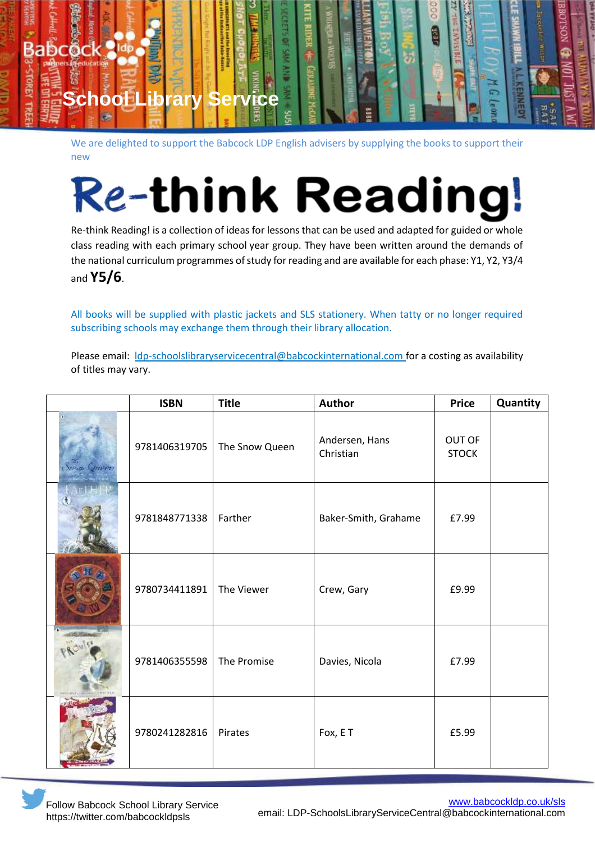

We are delighted to support the Babcock LDP English advisers by supplying the books to support their new

## **Re-think Reading!**

Re-think Reading! is a collection of ideas for lessons that can be used and adapted for guided or whole class reading with each primary school year group. They have been written around the demands of the national curriculum programmes of study for reading and are available for each phase: Y1, Y2, Y3/4 and **Y5/6**.

All books will be supplied with plastic jackets and SLS stationery. When tatty or no longer required subscribing schools may exchange them through their library allocation.

Please email: Idp-schoolslibraryservicecentral@babcockinternational.com for a costing as availability of titles may vary.

|              | <b>ISBN</b>   | <b>Title</b>   | <b>Author</b>               | <b>Price</b>           | Quantity |
|--------------|---------------|----------------|-----------------------------|------------------------|----------|
| Seria Oriver | 9781406319705 | The Snow Queen | Andersen, Hans<br>Christian | OUT OF<br><b>STOCK</b> |          |
|              | 9781848771338 | Farther        | Baker-Smith, Grahame        | £7.99                  |          |
|              | 9780734411891 | The Viewer     | Crew, Gary                  | £9.99                  |          |
|              | 9781406355598 | The Promise    | Davies, Nicola              | £7.99                  |          |
|              | 9780241282816 | Pirates        | Fox, ET                     | £5.99                  |          |

Follow Babcock School Library Service https://twitter.com/babcockldpsls